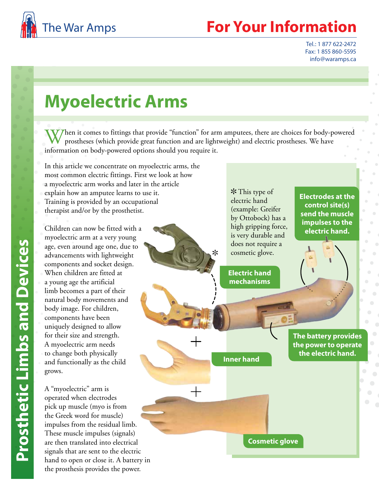

## **Your Information**

Tel.: 1 877 622-2472 Fax: 1 855 860-5595 info@waramps.ca

# **Myoelectric Arms**

 $V$  hen it comes to fittings that provide "function" for arm amputees, there are choices for body-powered prostheses (which provide great function and are lightweight) and electric prostheses. We have information on body-powered options should you require it.

 $\ast$ 

In this article we concentrate on myoelectric arms, the most common electric fittings. First we look at how a myoelectric arm works and later in the article explain how an amputee learns to use it. Training is provided by an occupational therapist and/or by the prosthetist.

Children can now be fitted with a myoelectric arm at a very young age, even around age one, due to advancements with lightweight components and socket design. When children are fitted at a young age the artificial limb becomes a part of their natural body movements and body image. For children, components have been uniquely designed to allow for their size and strength. A myoelectric arm needs to change both physically and functionally as the child grows.

A "myoelectric" arm is operated when electrodes pick up muscle (myo is from the Greek word for muscle) impulses from the residual limb. These muscle impulses (signals) are then translated into electrical signals that are sent to the electric hand to open or close it. A battery in the prosthesis provides the power.

 $*$  This type of electric hand (example: Greifer by Ottobock) has a high gripping force, is very durable and does not require a cosmetic glove.

**Electric hand mechanisms**

**Inner hand**

**Electrodes at the control site(s) send the muscle impulses to the electric hand.**

**The battery provides the power to operate the electric hand.**

**Cosmetic glove**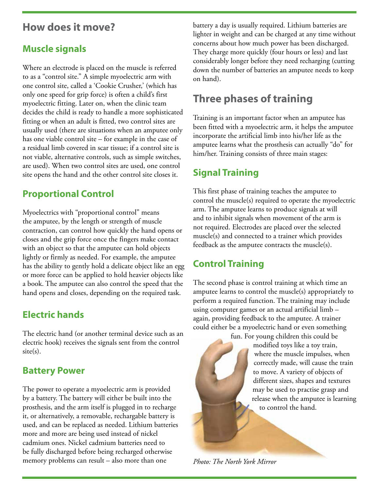#### **How does it move?**

#### **Muscle signals**

Where an electrode is placed on the muscle is referred to as a "control site." A simple myoelectric arm with one control site, called a 'Cookie Crusher,' (which has only one speed for grip force) is often a child's first myoelectric fitting. Later on, when the clinic team decides the child is ready to handle a more sophisticated fitting or when an adult is fitted, two control sites are usually used (there are situations when an amputee only has one viable control site – for example in the case of a residual limb covered in scar tissue; if a control site is not viable, alternative controls, such as simple switches, are used). When two control sites are used, one control site opens the hand and the other control site closes it.

#### **Proportional Control**

Myoelectrics with "proportional control" means the amputee, by the length or strength of muscle contraction, can control how quickly the hand opens or closes and the grip force once the fingers make contact with an object so that the amputee can hold objects lightly or firmly as needed. For example, the amputee has the ability to gently hold a delicate object like an egg or more force can be applied to hold heavier objects like a book. The amputee can also control the speed that the hand opens and closes, depending on the required task.

#### **Electric hands**

The electric hand (or another terminal device such as an electric hook) receives the signals sent from the control site(s).

#### **Battery Power**

The power to operate a myoelectric arm is provided by a battery. The battery will either be built into the prosthesis, and the arm itself is plugged in to recharge it, or alternatively, a removable, rechargable battery is used, and can be replaced as needed. Lithium batteries more and more are being used instead of nickel cadmium ones. Nickel cadmium batteries need to be fully discharged before being recharged otherwise memory problems can result – also more than one

battery a day is usually required. Lithium batteries are lighter in weight and can be charged at any time without concerns about how much power has been discharged. They charge more quickly (four hours or less) and last considerably longer before they need recharging (cutting down the number of batteries an amputee needs to keep on hand).

### **Three phases of training**

Training is an important factor when an amputee has been fitted with a myoelectric arm, it helps the amputee incorporate the artificial limb into his/her life as the amputee learns what the prosthesis can actually "do" for him/her. Training consists of three main stages:

#### **Signal Training**

This first phase of training teaches the amputee to control the muscle(s) required to operate the myoelectric arm. The amputee learns to produce signals at will and to inhibit signals when movement of the arm is not required. Electrodes are placed over the selected muscle(s) and connected to a trainer which provides feedback as the amputee contracts the muscle(s).

#### **Control Training**

The second phase is control training at which time an amputee learns to control the muscle(s) appropriately to perform a required function. The training may include using computer games or an actual artificial limb – again, providing feedback to the amputee. A trainer could either be a myoelectric hand or even something

fun. For young children this could be modified toys like a toy train, where the muscle impulses, when correctly made, will cause the train to move. A variety of objects of different sizes, shapes and textures may be used to practise grasp and release when the amputee is learning to control the hand.

*Photo: The North York Mirror*